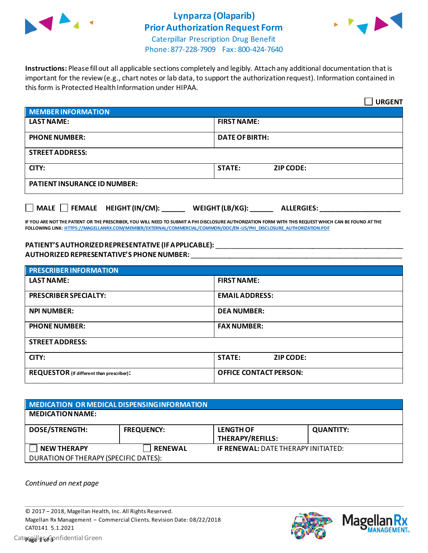

# **Lynparza (Olaparib) Prior Authorization Request Form**



Caterpillar Prescription Drug Benefit Phone: 877-228-7909 Fax: 800-424-7640

**Instructions:** Please fill out all applicable sections completely and legibly. Attach any additional documentation that is important for the review (e.g., chart notes or lab data, to support the authorization request). Information contained in this form is Protected Health Information under HIPAA.

|                                                                                   | <b>URGENT</b>                     |  |  |  |
|-----------------------------------------------------------------------------------|-----------------------------------|--|--|--|
| <b>MEMBER INFORMATION</b>                                                         |                                   |  |  |  |
| <b>LAST NAME:</b>                                                                 | <b>FIRST NAME:</b>                |  |  |  |
| <b>PHONE NUMBER:</b>                                                              | <b>DATE OF BIRTH:</b>             |  |  |  |
| <b>STREET ADDRESS:</b>                                                            |                                   |  |  |  |
| CITY:                                                                             | <b>STATE:</b><br><b>ZIP CODE:</b> |  |  |  |
| <b>PATIENT INSURANCE ID NUMBER:</b>                                               |                                   |  |  |  |
| $\Box$ MALE $\Box$ FEMALE HEIGHT (IN/CM):<br>WEIGHT (LB/KG):<br><b>ALLERGIES:</b> |                                   |  |  |  |

**IF YOU ARE NOT THE PATIENT OR THE PRESCRIBER, YOU WILL NEED TO SUBMIT A PHI DISCLOSURE AUTHORIZATION FORM WITH THIS REQUEST WHICH CAN BE FOUND AT THE FOLLOWING LINK[: HTTPS://MAGELLANRX.COM/MEMBER/EXTERNAL/COMMERCIAL/COMMON/DOC/EN-US/PHI\\_DISCLOSURE\\_AUTHORIZATION.PDF](https://magellanrx.com/member/external/commercial/common/doc/en-us/PHI_Disclosure_Authorization.pdf)**

#### **PATIENT'S AUTHORIZED REPRESENTATIVE (IF APPLICABLE):** \_\_\_\_\_\_\_\_\_\_\_\_\_\_\_\_\_\_\_\_\_\_\_\_\_\_\_\_\_\_\_\_\_\_\_\_\_\_\_\_\_\_\_\_\_\_\_\_\_ **AUTHORIZED REPRESENTATIVE'S PHONE NUMBER:** \_\_\_\_\_\_\_\_\_\_\_\_\_\_\_\_\_\_\_\_\_\_\_\_\_\_\_\_\_\_\_\_\_\_\_\_\_\_\_\_\_\_\_\_\_\_\_\_\_\_\_\_\_\_\_

| <b>PRESCRIBER INFORMATION</b>             |                               |  |  |  |
|-------------------------------------------|-------------------------------|--|--|--|
| <b>LAST NAME:</b>                         | <b>FIRST NAME:</b>            |  |  |  |
| <b>PRESCRIBER SPECIALTY:</b>              | <b>EMAIL ADDRESS:</b>         |  |  |  |
| <b>NPI NUMBER:</b>                        | <b>DEA NUMBER:</b>            |  |  |  |
| <b>PHONE NUMBER:</b>                      | <b>FAX NUMBER:</b>            |  |  |  |
| <b>STREET ADDRESS:</b>                    |                               |  |  |  |
| CITY:                                     | <b>STATE:</b><br>ZIP CODE:    |  |  |  |
| REQUESTOR (if different than prescriber): | <b>OFFICE CONTACT PERSON:</b> |  |  |  |

| MEDICATION OR MEDICAL DISPENSING INFORMATION |                   |                                             |                  |  |  |
|----------------------------------------------|-------------------|---------------------------------------------|------------------|--|--|
| <b>MEDICATION NAME:</b>                      |                   |                                             |                  |  |  |
| <b>DOSE/STRENGTH:</b>                        | <b>FREQUENCY:</b> | <b>LENGTH OF</b><br><b>THERAPY/REFILLS:</b> | <b>QUANTITY:</b> |  |  |
| <b>NEW THERAPY</b>                           | <b>RENEWAL</b>    | <b>IF RENEWAL: DATE THERAPY INITIATED:</b>  |                  |  |  |
| DURATION OF THERAPY (SPECIFIC DATES):        |                   |                                             |                  |  |  |

*Continued on next page*



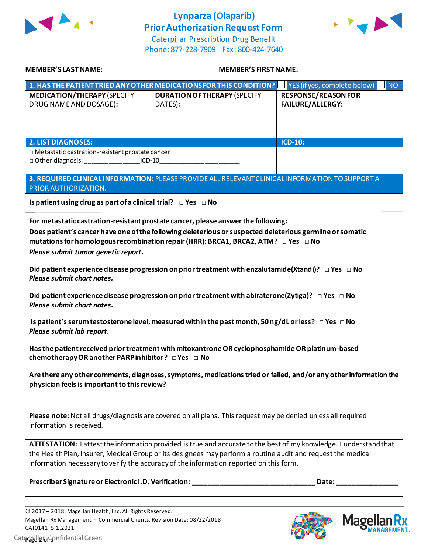

# **Lynparza (Olaparib) Prior Authorization Request Form**



Caterpillar Prescription Drug Benefit Phone: 877-228-7909 Fax: 800-424-7640

| MEMBER'S LAST NAME: NAME AND A SERIES AND A SERIES OF STRING AND A STRING OF STRING AND A STRING OF STRING AND                                                                                                                                                                                                                       | MEMBER'S FIRST NAME:                                                                              |                                                                                                                                                                                                                                |  |  |
|--------------------------------------------------------------------------------------------------------------------------------------------------------------------------------------------------------------------------------------------------------------------------------------------------------------------------------------|---------------------------------------------------------------------------------------------------|--------------------------------------------------------------------------------------------------------------------------------------------------------------------------------------------------------------------------------|--|--|
|                                                                                                                                                                                                                                                                                                                                      | 1. HAS THE PATIENT TRIED ANY OTHER MEDICATIONS FOR THIS CONDITION?   YES (if yes, complete below) | NO                                                                                                                                                                                                                             |  |  |
| <b>MEDICATION/THERAPY (SPECIFY</b><br>DRUG NAME AND DOSAGE):                                                                                                                                                                                                                                                                         | <b>DURATION OF THERAPY (SPECIFY</b><br>DATES):                                                    | <b>RESPONSE/REASON FOR</b><br><b>FAILURE/ALLERGY:</b>                                                                                                                                                                          |  |  |
| <b>2. LIST DIAGNOSES:</b>                                                                                                                                                                                                                                                                                                            |                                                                                                   | ICD-10:                                                                                                                                                                                                                        |  |  |
| □ Metastatic castration-resistant prostate cancer<br>□ Other diagnosis: ____________________ICD-10__________________________________                                                                                                                                                                                                 |                                                                                                   |                                                                                                                                                                                                                                |  |  |
| PRIOR AUTHORIZATION.                                                                                                                                                                                                                                                                                                                 | 3. REQUIRED CLINICAL INFORMATION: PLEASE PROVIDE ALL RELEVANT CLINICAL INFORMATION TO SUPPORT A   |                                                                                                                                                                                                                                |  |  |
| Is patient using drug as part of a clinical trial? $\Box$ Yes $\Box$ No                                                                                                                                                                                                                                                              |                                                                                                   |                                                                                                                                                                                                                                |  |  |
| For metastatic castration-resistant prostate cancer, please answer the following:<br>Does patient's cancer have one of the following deleterious or suspected deleterious germline or somatic<br>mutations for homologous recombination repair (HRR): BRCA1, BRCA2, ATM? $\Box$ Yes $\Box$ No<br>Please submit tumor genetic report. |                                                                                                   |                                                                                                                                                                                                                                |  |  |
| Did patient experience disease progression on prior treatment with enzalutamide(Xtandi)? $\Box$ Yes $\Box$ No<br>Please submit chart notes.                                                                                                                                                                                          |                                                                                                   |                                                                                                                                                                                                                                |  |  |
| Did patient experience disease progression on prior treatment with abiraterone(Zytiga)? $\Box$ Yes $\Box$ No<br>Please submit chart notes.                                                                                                                                                                                           |                                                                                                   |                                                                                                                                                                                                                                |  |  |
| Is patient's serum testosterone level, measured within the past month, 50 ng/dL or less? $\Box$ Yes $\Box$ No<br>Please submit lab report.                                                                                                                                                                                           |                                                                                                   |                                                                                                                                                                                                                                |  |  |
| Has the patient received prior treatment with mitoxantrone OR cyclophosphamide OR platinum-based<br>chemotherapy OR another PARP inhibitor? □ Yes □ No                                                                                                                                                                               |                                                                                                   |                                                                                                                                                                                                                                |  |  |
| Are there any other comments, diagnoses, symptoms, medications tried or failed, and/or any other information the<br>physician feels is important to this review?                                                                                                                                                                     |                                                                                                   |                                                                                                                                                                                                                                |  |  |
| Please note: Not all drugs/diagnosis are covered on all plans. This request may be denied unless all required<br>information is received.                                                                                                                                                                                            |                                                                                                   |                                                                                                                                                                                                                                |  |  |
| ATTESTATION: I attest the information provided is true and accurate to the best of my knowledge. I understand that<br>the Health Plan, insurer, Medical Group or its designees may perform a routine audit and request the medical<br>information necessary to verify the accuracy of the information reported on this form.         |                                                                                                   |                                                                                                                                                                                                                                |  |  |
|                                                                                                                                                                                                                                                                                                                                      | Prescriber Signature or Electronic I.D. Verification: ___________________________                 | Date: the contract of the contract of the contract of the contract of the contract of the contract of the contract of the contract of the contract of the contract of the contract of the contract of the contract of the cont |  |  |